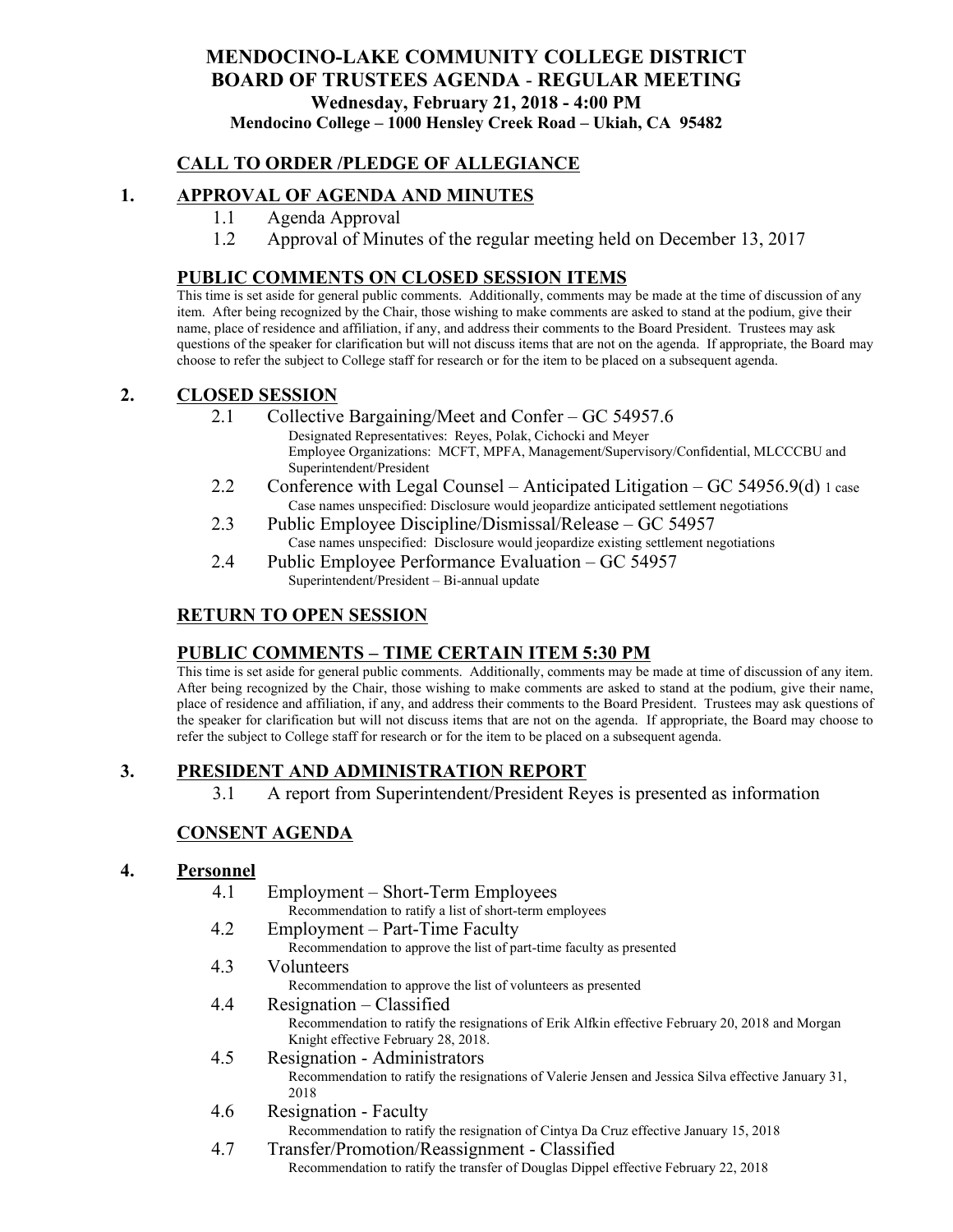### **MENDOCINO-LAKE COMMUNITY COLLEGE DISTRICT BOARD OF TRUSTEES AGENDA** - **REGULAR MEETING Wednesday, February 21, 2018 - 4:00 PM Mendocino College – 1000 Hensley Creek Road – Ukiah, CA 95482**

### **CALL TO ORDER /PLEDGE OF ALLEGIANCE**

### **1. APPROVAL OF AGENDA AND MINUTES**

- 1.1 Agenda Approval
- 1.2 Approval of Minutes of the regular meeting held on December 13, 2017

#### **PUBLIC COMMENTS ON CLOSED SESSION ITEMS**

This time is set aside for general public comments. Additionally, comments may be made at the time of discussion of any item. After being recognized by the Chair, those wishing to make comments are asked to stand at the podium, give their name, place of residence and affiliation, if any, and address their comments to the Board President. Trustees may ask questions of the speaker for clarification but will not discuss items that are not on the agenda. If appropriate, the Board may choose to refer the subject to College staff for research or for the item to be placed on a subsequent agenda.

#### **2. CLOSED SESSION**

- 2.1 Collective Bargaining/Meet and Confer GC 54957.6
	- Designated Representatives: Reyes, Polak, Cichocki and Meyer Employee Organizations: MCFT, MPFA, Management/Supervisory/Confidential, MLCCCBU and Superintendent/President
- 2.2 Conference with Legal Counsel Anticipated Litigation GC 54956.9(d) 1 case Case names unspecified: Disclosure would jeopardize anticipated settlement negotiations
- 2.3 Public Employee Discipline/Dismissal/Release GC 54957 Case names unspecified: Disclosure would jeopardize existing settlement negotiations
- 2.4 Public Employee Performance Evaluation GC 54957 Superintendent/President – Bi-annual update

#### **RETURN TO OPEN SESSION**

#### **PUBLIC COMMENTS – TIME CERTAIN ITEM 5:30 PM**

This time is set aside for general public comments. Additionally, comments may be made at time of discussion of any item. After being recognized by the Chair, those wishing to make comments are asked to stand at the podium, give their name, place of residence and affiliation, if any, and address their comments to the Board President. Trustees may ask questions of the speaker for clarification but will not discuss items that are not on the agenda. If appropriate, the Board may choose to refer the subject to College staff for research or for the item to be placed on a subsequent agenda.

#### **3. PRESIDENT AND ADMINISTRATION REPORT**

3.1 A report from Superintendent/President Reyes is presented as information

#### **CONSENT AGENDA**

#### **4. Personnel**

- 4.1 Employment Short-Term Employees Recommendation to ratify a list of short-term employees 4.2 Employment – Part-Time Faculty Recommendation to approve the list of part-time faculty as presented 4.3 Volunteers Recommendation to approve the list of volunteers as presented 4.4 Resignation – Classified Recommendation to ratify the resignations of Erik Alfkin effective February 20, 2018 and Morgan Knight effective February 28, 2018. 4.5 Resignation - Administrators Recommendation to ratify the resignations of Valerie Jensen and Jessica Silva effective January 31, 2018 4.6 Resignation - Faculty Recommendation to ratify the resignation of Cintya Da Cruz effective January 15, 2018
- 4.7 Transfer/Promotion/Reassignment Classified Recommendation to ratify the transfer of Douglas Dippel effective February 22, 2018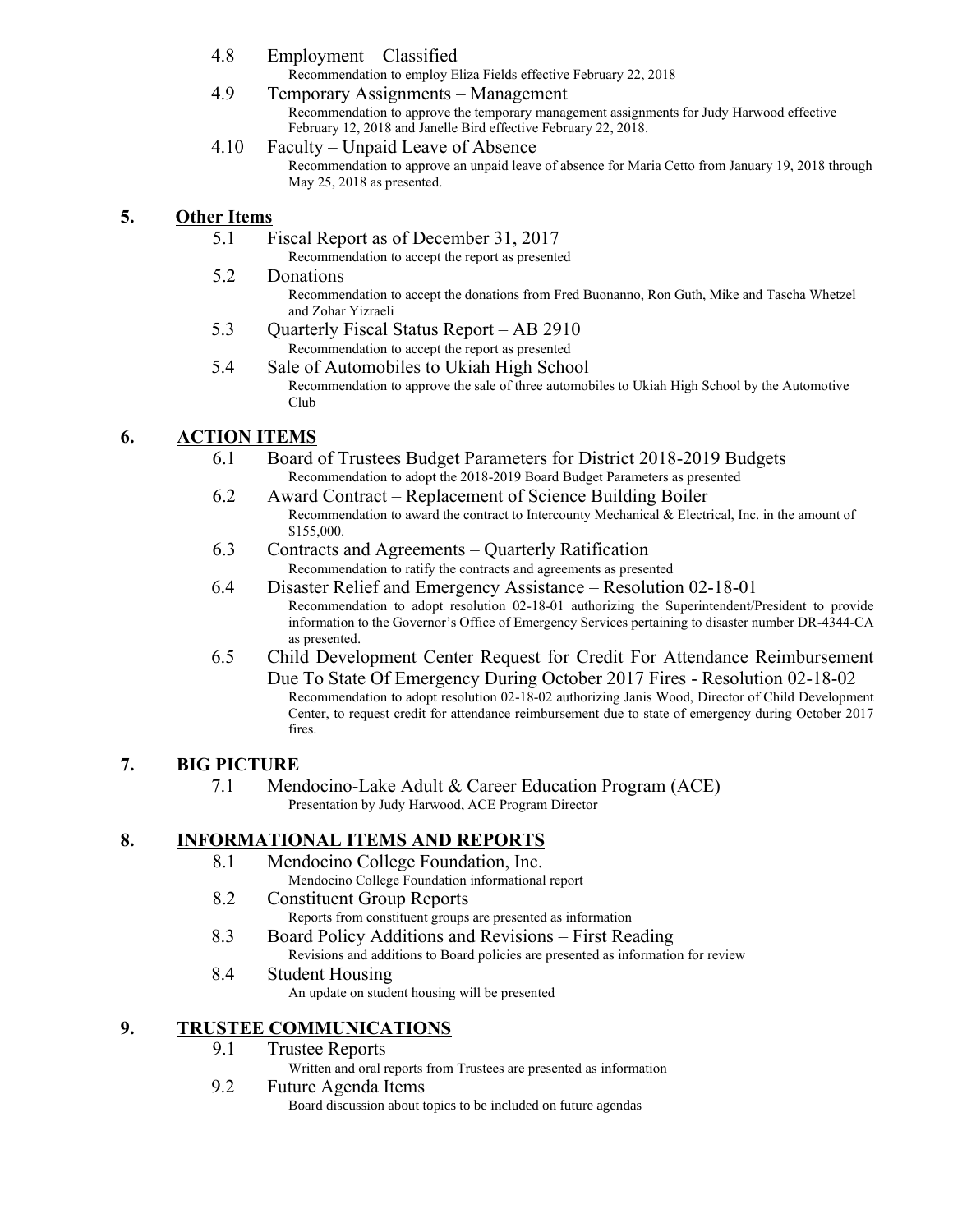- 4.8 Employment Classified
	- Recommendation to employ Eliza Fields effective February 22, 2018
- 4.9 Temporary Assignments Management Recommendation to approve the temporary management assignments for Judy Harwood effective February 12, 2018 and Janelle Bird effective February 22, 2018.
- 4.10 Faculty Unpaid Leave of Absence Recommendation to approve an unpaid leave of absence for Maria Cetto from January 19, 2018 through May 25, 2018 as presented.

### **5. Other Items**

- 5.1 Fiscal Report as of December 31, 2017
	- Recommendation to accept the report as presented
- 5.2 Donations

Recommendation to accept the donations from Fred Buonanno, Ron Guth, Mike and Tascha Whetzel and Zohar Yizraeli

- 5.3 Quarterly Fiscal Status Report AB 2910 Recommendation to accept the report as presented
- 5.4 Sale of Automobiles to Ukiah High School Recommendation to approve the sale of three automobiles to Ukiah High School by the Automotive Club

## **6. ACTION ITEMS**

- 6.1 Board of Trustees Budget Parameters for District 2018-2019 Budgets Recommendation to adopt the 2018-2019 Board Budget Parameters as presented
- 6.2 Award Contract Replacement of Science Building Boiler Recommendation to award the contract to Intercounty Mechanical & Electrical, Inc. in the amount of \$155,000.
- 6.3 Contracts and Agreements Quarterly Ratification Recommendation to ratify the contracts and agreements as presented
- 6.4 Disaster Relief and Emergency Assistance Resolution 02-18-01 Recommendation to adopt resolution 02-18-01 authorizing the Superintendent/President to provide information to the Governor's Office of Emergency Services pertaining to disaster number DR-4344-CA as presented.
- 6.5 Child Development Center Request for Credit For Attendance Reimbursement Due To State Of Emergency During October 2017 Fires - Resolution 02-18-02 Recommendation to adopt resolution 02-18-02 authorizing Janis Wood, Director of Child Development Center, to request credit for attendance reimbursement due to state of emergency during October 2017 fires.

## **7. BIG PICTURE**

7.1 Mendocino-Lake Adult & Career Education Program (ACE) Presentation by Judy Harwood, ACE Program Director

## **8. INFORMATIONAL ITEMS AND REPORTS**

- 8.1 Mendocino College Foundation, Inc. Mendocino College Foundation informational report
- 8.2 Constituent Group Reports
	- Reports from constituent groups are presented as information
- 8.3 Board Policy Additions and Revisions First Reading Revisions and additions to Board policies are presented as information for review
- 8.4 Student Housing An update on student housing will be presented

# **9. TRUSTEE COMMUNICATIONS**

#### 9.1 Trustee Reports

Written and oral reports from Trustees are presented as information

#### 9.2 Future Agenda Items

Board discussion about topics to be included on future agendas